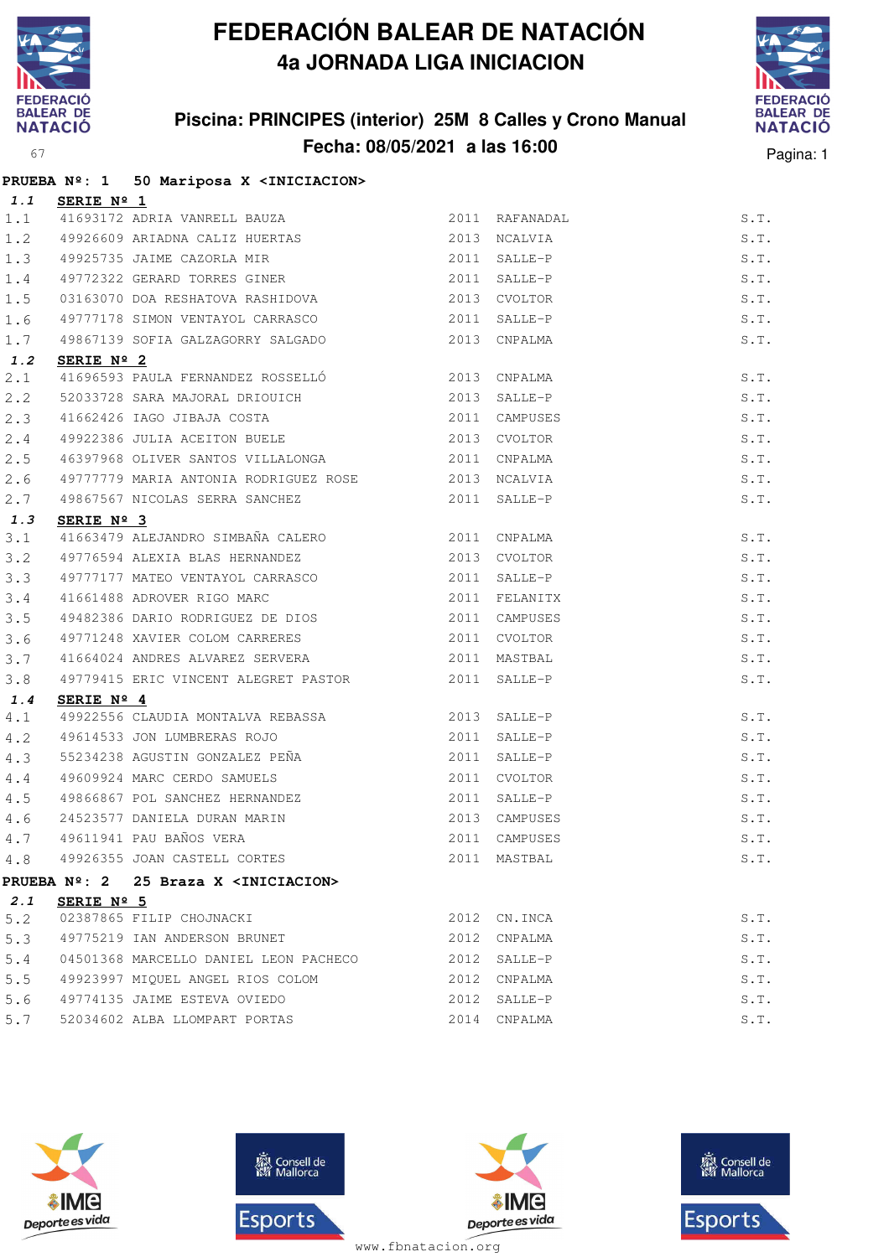

**PRUEBA Nº: 1 50 Mariposa X <INICIACION>**

## **FEDERACIÓN BALEAR DE NATACIÓN 4a JORNADA LIGA INICIACION**

## **Piscina: PRINCIPES (interior) 25M 8 Calles y Crono Manual Fecha: 08/05/2021 a las 16:00** Pagina: 1



|     |                     | FROEDA N-. I JO MAIIPOSA A SINICIACIONS                                                  |              |                |      |
|-----|---------------------|------------------------------------------------------------------------------------------|--------------|----------------|------|
| 1.1 | SERIE Nº 1          |                                                                                          |              |                |      |
| 1.1 |                     | $\frac{3EKLE}{41693172}$ ADRIA VANRELL BAUZA 2011<br>49926609 ARIADNA CALIZ HUERTAS 2013 |              | 2011 RAFANADAL | S.T. |
| 1.2 |                     |                                                                                          |              | NCALVIA        | S.T. |
| 1.3 |                     | 49925735 JAIME CAZORLA MIR<br>49772322 GERARD TORRES GINER                               | 2011         | SALLE-P        | S.T. |
| 1.4 |                     |                                                                                          | 2011         | SALLE-P        | S.T. |
| 1.5 |                     | 03163070 DOA RESHATOVA RASHIDOVA                                                         |              | 2013 CVOLTOR   | S.T. |
| 1.6 |                     | 49777178 SIMON VENTAYOL CARRASCO 2011                                                    |              | SALLE-P        | S.T. |
| 1.7 |                     | 49867139 SOFIA GALZAGORRY SALGADO                                                        | 2013         | CNPALMA        | S.T. |
| 1.2 | SERIE $N^{\circ}$ 2 |                                                                                          |              |                |      |
| 2.1 |                     | 41696593 PAULA FERNANDEZ ROSSELLÓ<br>2013 CNPALMA                                        |              |                | S.T. |
| 2.2 |                     | 52033728 SARA MAJORAL DRIOUICH<br>41663436 ILOG IIBLE OSCHI                              |              | 2013 SALLE-P   | S.T. |
| 2.3 |                     | 41662426 IAGO JIBAJA COSTA 2011                                                          |              | CAMPUSES       | S.T. |
| 2.4 |                     | 49922386 JULIA ACEITON BUELE 2013                                                        |              | CVOLTOR        | S.T. |
| 2.5 |                     | 46397968 OLIVER SANTOS VILLALONGA                                                        | 2011         | CNPALMA        | S.T. |
| 2.6 |                     | 49777779 MARIA ANTONIA RODRIGUEZ ROSE 2013 NCALVIA                                       |              |                | S.T. |
| 2.7 |                     | 49867567 NICOLAS SERRA SANCHEZ 2011                                                      |              | SALLE-P        | S.T. |
| 1.3 | SERIE Nº 3          |                                                                                          |              |                |      |
| 3.1 |                     | 41663479 ALEJANDRO SIMBAÑA CALERO 2011                                                   |              | CNPALMA        | S.T. |
| 3.2 |                     | 49776594 ALEXIA BLAS HERNANDEZ<br>49777177 MATEO VENTAYOL CARRASCO                       |              | 2013 CVOLTOR   | S.T. |
| 3.3 |                     |                                                                                          | 2011 SALLE-P |                | S.T. |
| 3.4 |                     | 41661488 ADROVER RIGO MARC 2011                                                          |              | FELANITX       | S.T. |
| 3.5 |                     | 49482386 DARIO RODRIGUEZ DE DIOS                                                         | 2011         | CAMPUSES       | S.T. |
| 3.6 |                     | 49771248 XAVIER COLOM CARRERES                                                           | 2011         | CVOLTOR        | S.T. |
| 3.7 |                     | 41664024 ANDRES ALVAREZ SERVERA 2011 MASTBAL                                             |              |                | S.T. |
| 3.8 |                     | 49779415 ERIC VINCENT ALEGRET PASTOR 2011                                                |              | SALLE-P        | S.T. |
| 1.4 | SERIE Nº 4          |                                                                                          |              |                |      |
| 4.1 |                     | 49922556 CLAUDIA MONTALVA REBASSA 2013                                                   |              | SALLE-P        | S.T. |
| 4.2 |                     | 49614533 JON LUMBRERAS ROJO<br>55234238 AGUSTIN GONZALEZ PEÑA                            | 2011         | SALLE-P        | S.T. |
| 4.3 |                     |                                                                                          | 2011         | SALLE-P        | S.T. |
| 4.4 |                     | 49609924 MARC CERDO SAMUELS                                                              | 2011         | <b>CVOLTOR</b> | S.T. |
| 4.5 |                     | 49866867 POL SANCHEZ HERNANDEZ                                                           | 2011         | SALLE-P        | S.T. |
| 4.6 |                     |                                                                                          |              | 2013 CAMPUSES  | S.T. |
| 4.7 |                     | 24523577 DANIELA DURAN MARIN<br>49611941 PAU BAÑOS VERA                                  | 2011         | CAMPUSES       | S.T. |
| 4.8 |                     | 49926355 JOAN CASTELL CORTES                                                             |              | 2011 MASTBAL   | S.T. |
|     |                     | PRUEBA Nº: 2 25 Braza X <iniciacion></iniciacion>                                        |              |                |      |
| 2.1 | SERIE $N^{\circ}$ 5 |                                                                                          |              |                |      |
| 5.2 |                     | 02387865 FILIP CHOJNACKI                                                                 | 2012         | CN.INCA        | S.T. |
| 5.3 |                     | 49775219 IAN ANDERSON BRUNET                                                             | 2012         | CNPALMA        | S.T. |
| 5.4 |                     | 04501368 MARCELLO DANIEL LEON PACHECO                                                    | 2012         | SALLE-P        | S.T. |
| 5.5 |                     | 49923997 MIQUEL ANGEL RIOS COLOM                                                         |              | 2012 CNPALMA   | S.T. |
| 5.6 |                     | 49774135 JAIME ESTEVA OVIEDO                                                             | 2012         | SALLE-P        | S.T. |
| 5.7 |                     | 52034602 ALBA LLOMPART PORTAS                                                            | 2014         | CNPALMA        | S.T. |
|     |                     |                                                                                          |              |                |      |









www.fbnatacion.org